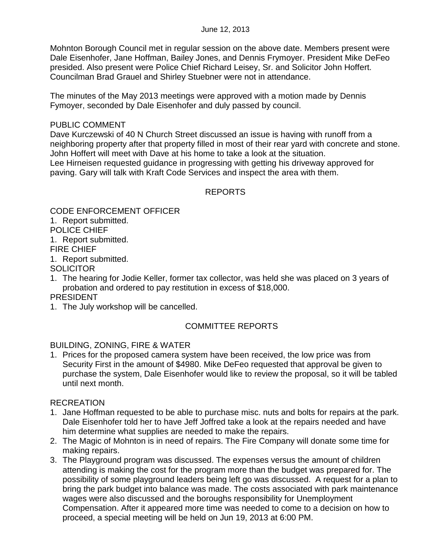Mohnton Borough Council met in regular session on the above date. Members present were Dale Eisenhofer, Jane Hoffman, Bailey Jones, and Dennis Frymoyer. President Mike DeFeo presided. Also present were Police Chief Richard Leisey, Sr. and Solicitor John Hoffert. Councilman Brad Grauel and Shirley Stuebner were not in attendance.

The minutes of the May 2013 meetings were approved with a motion made by Dennis Fymoyer, seconded by Dale Eisenhofer and duly passed by council.

#### PUBLIC COMMENT

Dave Kurczewski of 40 N Church Street discussed an issue is having with runoff from a neighboring property after that property filled in most of their rear yard with concrete and stone. John Hoffert will meet with Dave at his home to take a look at the situation. Lee Hirneisen requested guidance in progressing with getting his driveway approved for paving. Gary will talk with Kraft Code Services and inspect the area with them.

# REPORTS

CODE ENFORCEMENT OFFICER

1. Report submitted.

POLICE CHIEF

1. Report submitted.

FIRE CHIEF

1. Report submitted.

**SOLICITOR** 

1. The hearing for Jodie Keller, former tax collector, was held she was placed on 3 years of probation and ordered to pay restitution in excess of \$18,000.

#### PRESIDENT

1. The July workshop will be cancelled.

## COMMITTEE REPORTS

## BUILDING, ZONING, FIRE & WATER

1. Prices for the proposed camera system have been received, the low price was from Security First in the amount of \$4980. Mike DeFeo requested that approval be given to purchase the system, Dale Eisenhofer would like to review the proposal, so it will be tabled until next month.

## RECREATION

- 1. Jane Hoffman requested to be able to purchase misc. nuts and bolts for repairs at the park. Dale Eisenhofer told her to have Jeff Joffred take a look at the repairs needed and have him determine what supplies are needed to make the repairs.
- 2. The Magic of Mohnton is in need of repairs. The Fire Company will donate some time for making repairs.
- 3. The Playground program was discussed. The expenses versus the amount of children attending is making the cost for the program more than the budget was prepared for. The possibility of some playground leaders being left go was discussed. A request for a plan to bring the park budget into balance was made. The costs associated with park maintenance wages were also discussed and the boroughs responsibility for Unemployment Compensation. After it appeared more time was needed to come to a decision on how to proceed, a special meeting will be held on Jun 19, 2013 at 6:00 PM.